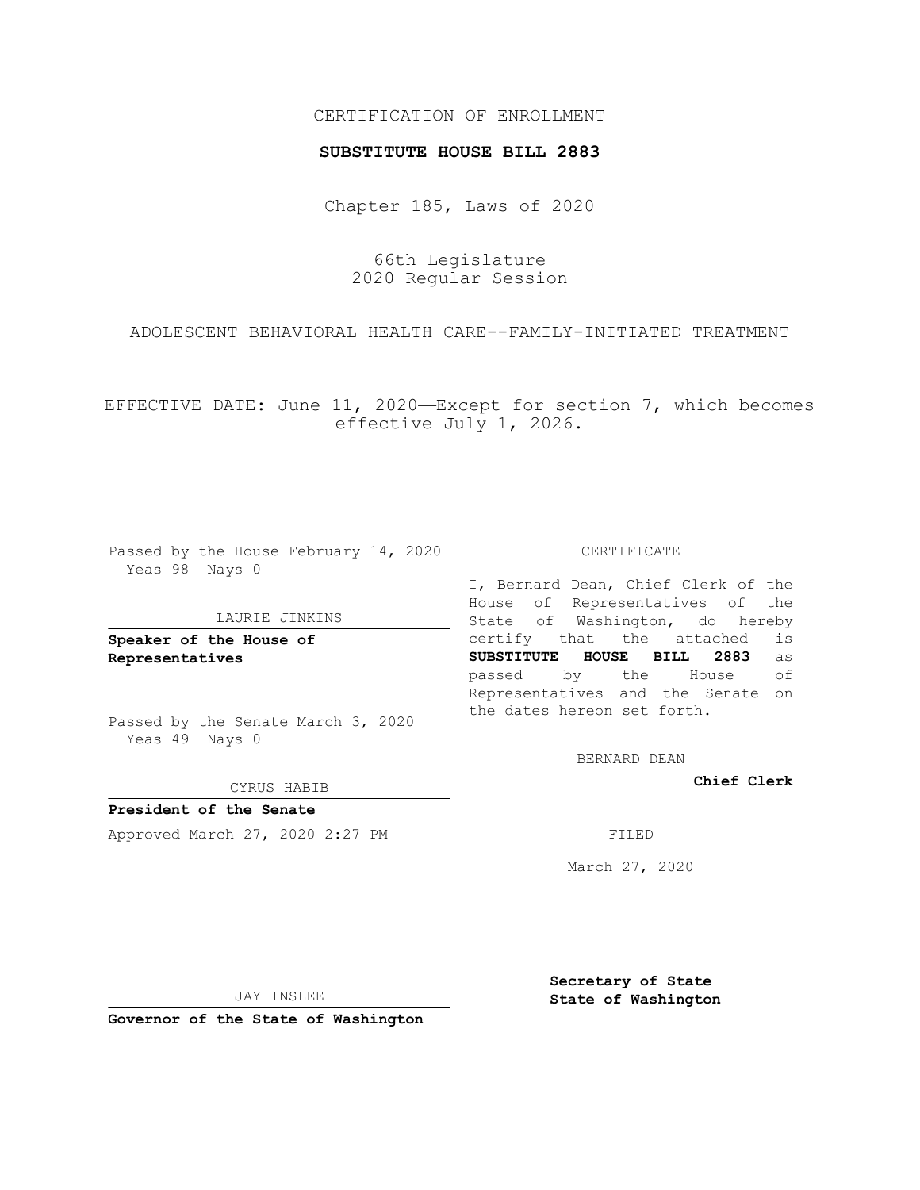## CERTIFICATION OF ENROLLMENT

## **SUBSTITUTE HOUSE BILL 2883**

Chapter 185, Laws of 2020

66th Legislature 2020 Regular Session

ADOLESCENT BEHAVIORAL HEALTH CARE--FAMILY-INITIATED TREATMENT

EFFECTIVE DATE: June 11, 2020—Except for section 7, which becomes effective July 1, 2026.

Passed by the House February 14, 2020 Yeas 98 Nays 0

## LAURIE JINKINS

**Speaker of the House of Representatives**

Passed by the Senate March 3, 2020 Yeas 49 Nays 0

CYRUS HABIB

**President of the Senate** Approved March 27, 2020 2:27 PM

CERTIFICATE

I, Bernard Dean, Chief Clerk of the House of Representatives of the State of Washington, do hereby certify that the attached is **SUBSTITUTE HOUSE BILL 2883** as passed by the House of Representatives and the Senate on the dates hereon set forth.

BERNARD DEAN

**Chief Clerk**

March 27, 2020

JAY INSLEE

**Governor of the State of Washington**

**Secretary of State State of Washington**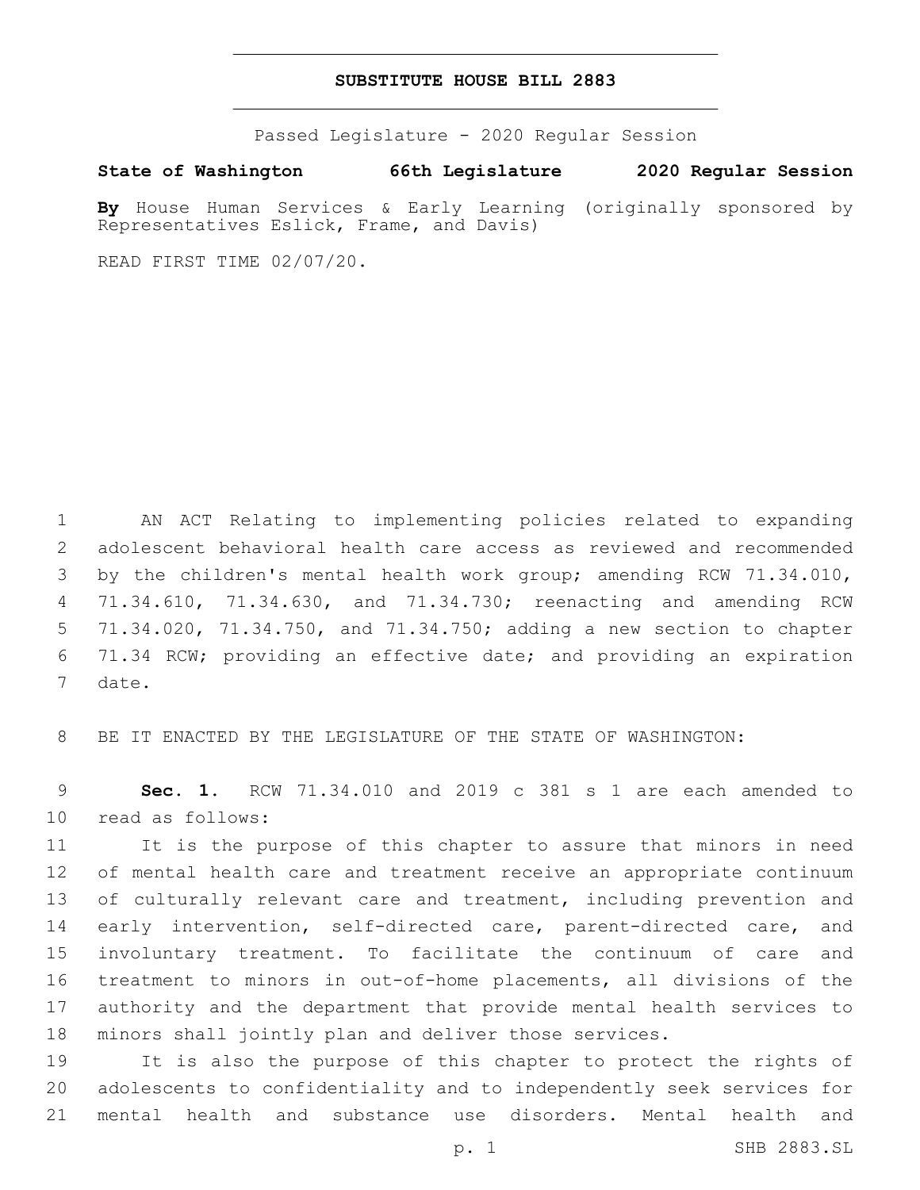## **SUBSTITUTE HOUSE BILL 2883**

Passed Legislature - 2020 Regular Session

**State of Washington 66th Legislature 2020 Regular Session**

**By** House Human Services & Early Learning (originally sponsored by Representatives Eslick, Frame, and Davis)

READ FIRST TIME 02/07/20.

 AN ACT Relating to implementing policies related to expanding adolescent behavioral health care access as reviewed and recommended 3 by the children's mental health work group; amending RCW 71.34.010, 71.34.610, 71.34.630, and 71.34.730; reenacting and amending RCW 71.34.020, 71.34.750, and 71.34.750; adding a new section to chapter 71.34 RCW; providing an effective date; and providing an expiration 7 date.

8 BE IT ENACTED BY THE LEGISLATURE OF THE STATE OF WASHINGTON:

9 **Sec. 1.** RCW 71.34.010 and 2019 c 381 s 1 are each amended to 10 read as follows:

 It is the purpose of this chapter to assure that minors in need of mental health care and treatment receive an appropriate continuum 13 of culturally relevant care and treatment, including prevention and 14 early intervention, self-directed care, parent-directed care, and involuntary treatment. To facilitate the continuum of care and treatment to minors in out-of-home placements, all divisions of the authority and the department that provide mental health services to minors shall jointly plan and deliver those services.

19 It is also the purpose of this chapter to protect the rights of 20 adolescents to confidentiality and to independently seek services for 21 mental health and substance use disorders. Mental health and

p. 1 SHB 2883.SL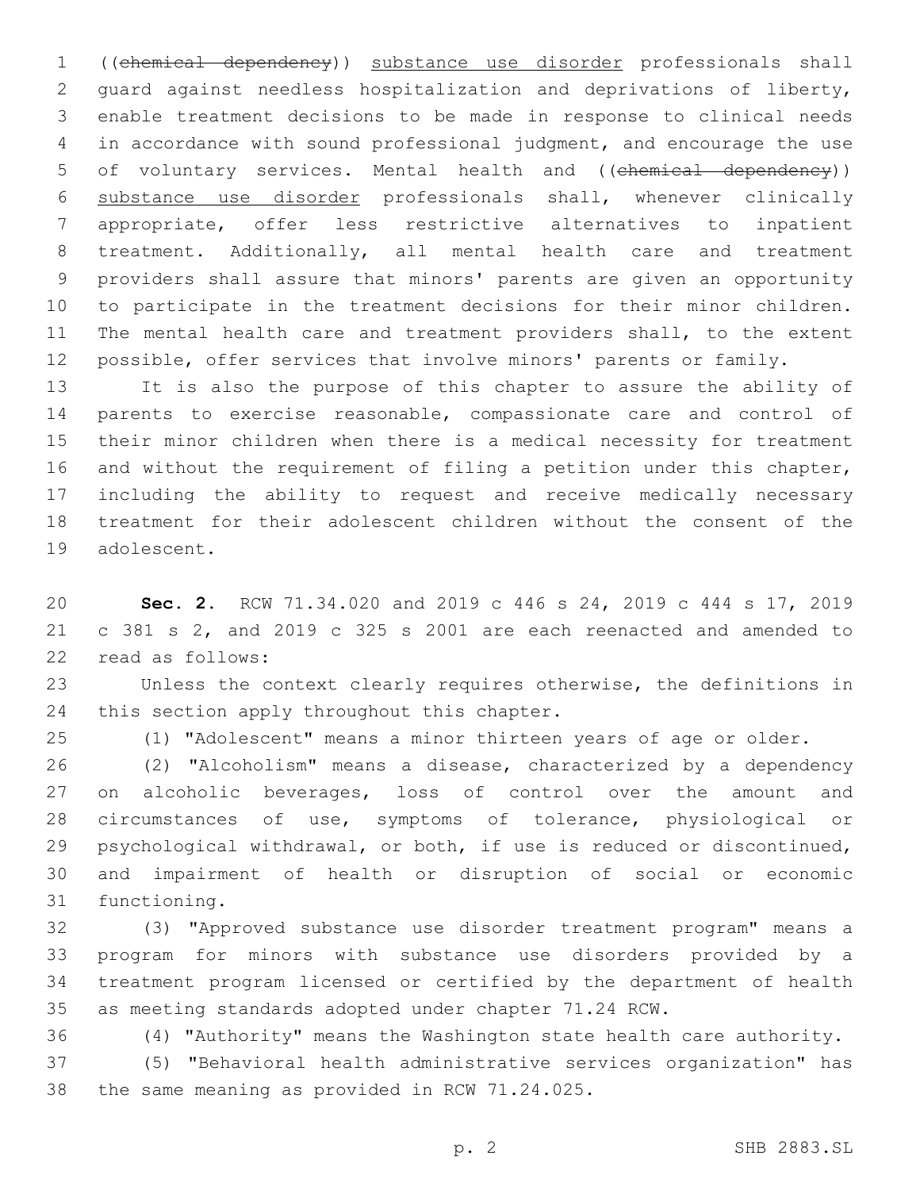((chemical dependency)) substance use disorder professionals shall guard against needless hospitalization and deprivations of liberty, enable treatment decisions to be made in response to clinical needs in accordance with sound professional judgment, and encourage the use 5 of voluntary services. Mental health and ((chemical dependency)) substance use disorder professionals shall, whenever clinically appropriate, offer less restrictive alternatives to inpatient treatment. Additionally, all mental health care and treatment providers shall assure that minors' parents are given an opportunity to participate in the treatment decisions for their minor children. The mental health care and treatment providers shall, to the extent possible, offer services that involve minors' parents or family.

 It is also the purpose of this chapter to assure the ability of parents to exercise reasonable, compassionate care and control of their minor children when there is a medical necessity for treatment 16 and without the requirement of filing a petition under this chapter, including the ability to request and receive medically necessary treatment for their adolescent children without the consent of the 19 adolescent.

 **Sec. 2.** RCW 71.34.020 and 2019 c 446 s 24, 2019 c 444 s 17, 2019 c 381 s 2, and 2019 c 325 s 2001 are each reenacted and amended to 22 read as follows:

 Unless the context clearly requires otherwise, the definitions in 24 this section apply throughout this chapter.

(1) "Adolescent" means a minor thirteen years of age or older.

 (2) "Alcoholism" means a disease, characterized by a dependency 27 on alcoholic beverages, loss of control over the amount and circumstances of use, symptoms of tolerance, physiological or psychological withdrawal, or both, if use is reduced or discontinued, and impairment of health or disruption of social or economic 31 functioning.

 (3) "Approved substance use disorder treatment program" means a program for minors with substance use disorders provided by a treatment program licensed or certified by the department of health as meeting standards adopted under chapter 71.24 RCW.

(4) "Authority" means the Washington state health care authority.

 (5) "Behavioral health administrative services organization" has 38 the same meaning as provided in RCW 71.24.025.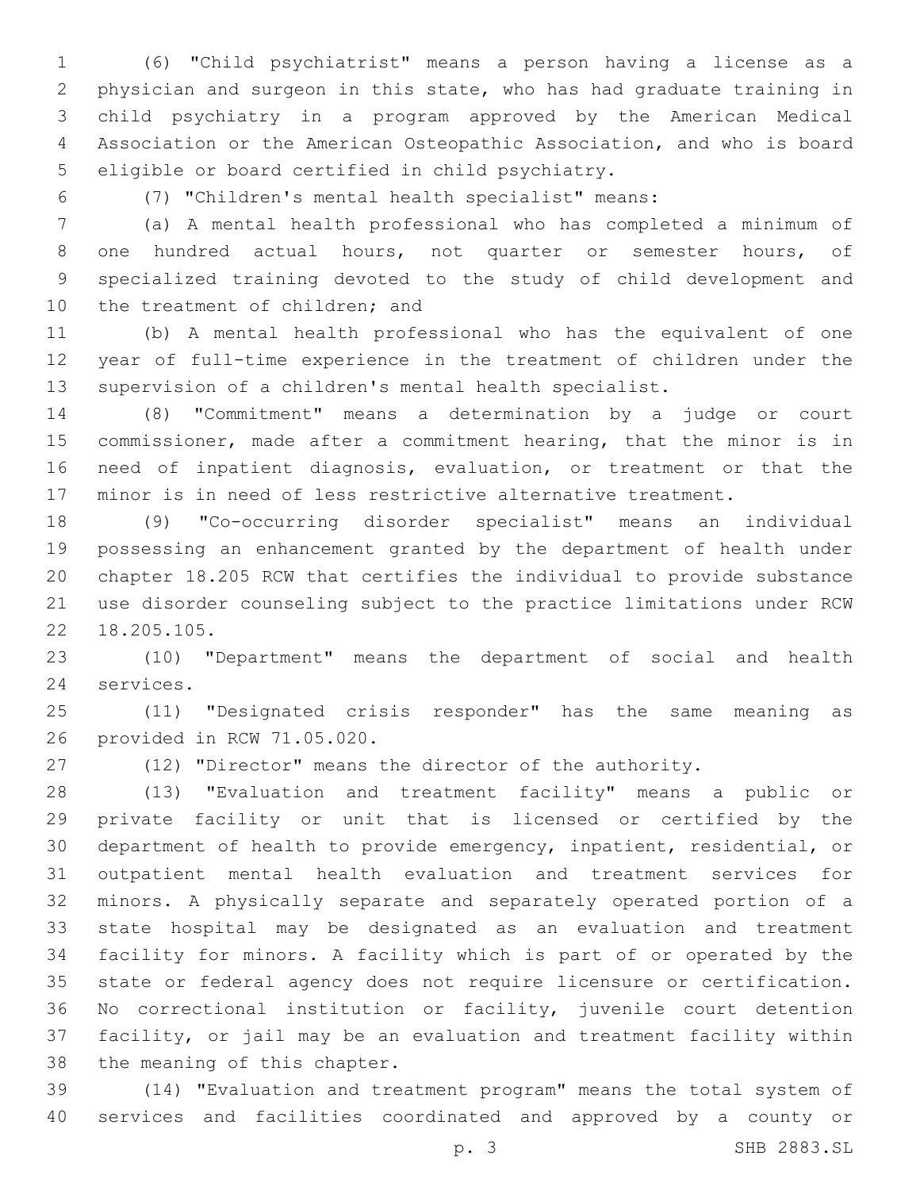(6) "Child psychiatrist" means a person having a license as a physician and surgeon in this state, who has had graduate training in child psychiatry in a program approved by the American Medical Association or the American Osteopathic Association, and who is board 5 eligible or board certified in child psychiatry.

(7) "Children's mental health specialist" means:

 (a) A mental health professional who has completed a minimum of one hundred actual hours, not quarter or semester hours, of specialized training devoted to the study of child development and 10 the treatment of children; and

 (b) A mental health professional who has the equivalent of one year of full-time experience in the treatment of children under the supervision of a children's mental health specialist.

 (8) "Commitment" means a determination by a judge or court commissioner, made after a commitment hearing, that the minor is in need of inpatient diagnosis, evaluation, or treatment or that the minor is in need of less restrictive alternative treatment.

 (9) "Co-occurring disorder specialist" means an individual possessing an enhancement granted by the department of health under chapter 18.205 RCW that certifies the individual to provide substance use disorder counseling subject to the practice limitations under RCW 22 18.205.105.

 (10) "Department" means the department of social and health 24 services.

 (11) "Designated crisis responder" has the same meaning as 26 provided in RCW 71.05.020.

(12) "Director" means the director of the authority.

 (13) "Evaluation and treatment facility" means a public or private facility or unit that is licensed or certified by the department of health to provide emergency, inpatient, residential, or outpatient mental health evaluation and treatment services for minors. A physically separate and separately operated portion of a state hospital may be designated as an evaluation and treatment facility for minors. A facility which is part of or operated by the state or federal agency does not require licensure or certification. No correctional institution or facility, juvenile court detention facility, or jail may be an evaluation and treatment facility within 38 the meaning of this chapter.

 (14) "Evaluation and treatment program" means the total system of services and facilities coordinated and approved by a county or

p. 3 SHB 2883.SL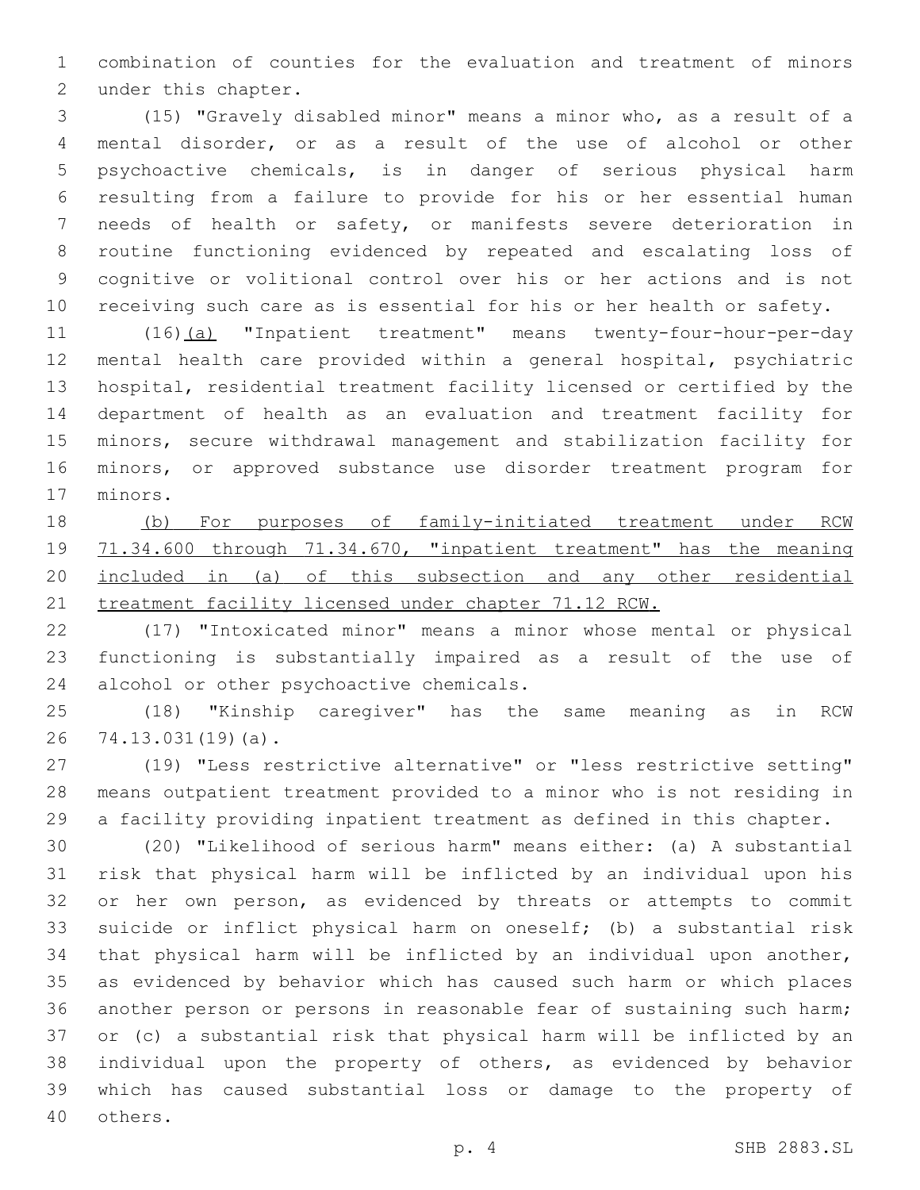combination of counties for the evaluation and treatment of minors 2 under this chapter.

 (15) "Gravely disabled minor" means a minor who, as a result of a mental disorder, or as a result of the use of alcohol or other psychoactive chemicals, is in danger of serious physical harm resulting from a failure to provide for his or her essential human needs of health or safety, or manifests severe deterioration in routine functioning evidenced by repeated and escalating loss of cognitive or volitional control over his or her actions and is not receiving such care as is essential for his or her health or safety.

 (16)(a) "Inpatient treatment" means twenty-four-hour-per-day mental health care provided within a general hospital, psychiatric hospital, residential treatment facility licensed or certified by the department of health as an evaluation and treatment facility for minors, secure withdrawal management and stabilization facility for minors, or approved substance use disorder treatment program for 17 minors.

 (b) For purposes of family-initiated treatment under RCW 71.34.600 through 71.34.670, "inpatient treatment" has the meaning included in (a) of this subsection and any other residential 21 treatment facility licensed under chapter 71.12 RCW.

 (17) "Intoxicated minor" means a minor whose mental or physical functioning is substantially impaired as a result of the use of 24 alcohol or other psychoactive chemicals.

 (18) "Kinship caregiver" has the same meaning as in RCW 26 74.13.031(19)(a).

 (19) "Less restrictive alternative" or "less restrictive setting" means outpatient treatment provided to a minor who is not residing in a facility providing inpatient treatment as defined in this chapter.

 (20) "Likelihood of serious harm" means either: (a) A substantial risk that physical harm will be inflicted by an individual upon his or her own person, as evidenced by threats or attempts to commit suicide or inflict physical harm on oneself; (b) a substantial risk that physical harm will be inflicted by an individual upon another, as evidenced by behavior which has caused such harm or which places another person or persons in reasonable fear of sustaining such harm; or (c) a substantial risk that physical harm will be inflicted by an individual upon the property of others, as evidenced by behavior which has caused substantial loss or damage to the property of 40 others.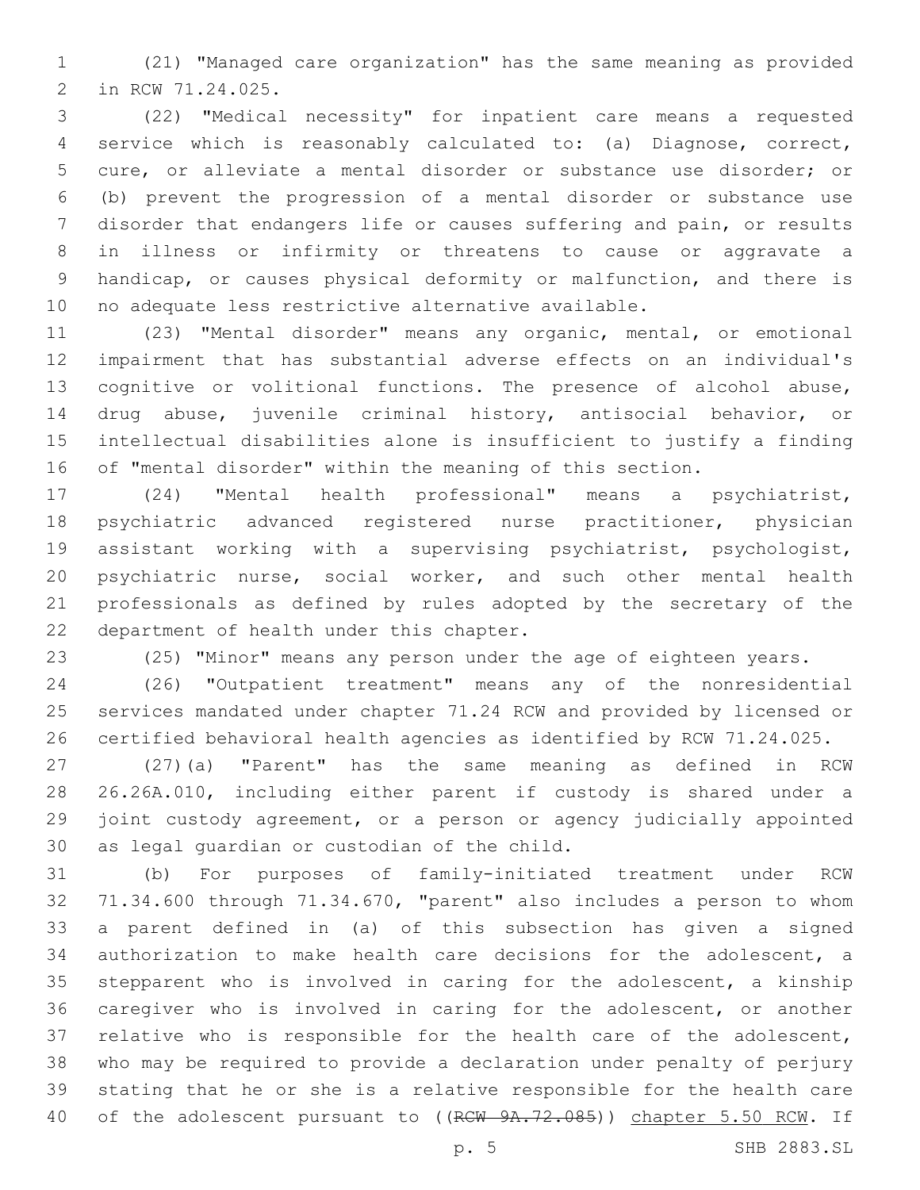(21) "Managed care organization" has the same meaning as provided 2 in RCW 71.24.025.

 (22) "Medical necessity" for inpatient care means a requested service which is reasonably calculated to: (a) Diagnose, correct, cure, or alleviate a mental disorder or substance use disorder; or (b) prevent the progression of a mental disorder or substance use disorder that endangers life or causes suffering and pain, or results in illness or infirmity or threatens to cause or aggravate a handicap, or causes physical deformity or malfunction, and there is no adequate less restrictive alternative available.

 (23) "Mental disorder" means any organic, mental, or emotional impairment that has substantial adverse effects on an individual's cognitive or volitional functions. The presence of alcohol abuse, drug abuse, juvenile criminal history, antisocial behavior, or intellectual disabilities alone is insufficient to justify a finding of "mental disorder" within the meaning of this section.

 (24) "Mental health professional" means a psychiatrist, psychiatric advanced registered nurse practitioner, physician assistant working with a supervising psychiatrist, psychologist, psychiatric nurse, social worker, and such other mental health professionals as defined by rules adopted by the secretary of the 22 department of health under this chapter.

(25) "Minor" means any person under the age of eighteen years.

 (26) "Outpatient treatment" means any of the nonresidential services mandated under chapter 71.24 RCW and provided by licensed or certified behavioral health agencies as identified by RCW 71.24.025.

 (27)(a) "Parent" has the same meaning as defined in RCW 26.26A.010, including either parent if custody is shared under a joint custody agreement, or a person or agency judicially appointed 30 as legal guardian or custodian of the child.

 (b) For purposes of family-initiated treatment under RCW 71.34.600 through 71.34.670, "parent" also includes a person to whom a parent defined in (a) of this subsection has given a signed authorization to make health care decisions for the adolescent, a stepparent who is involved in caring for the adolescent, a kinship caregiver who is involved in caring for the adolescent, or another relative who is responsible for the health care of the adolescent, who may be required to provide a declaration under penalty of perjury stating that he or she is a relative responsible for the health care 40 of the adolescent pursuant to ((RCW 9A.72.085)) chapter 5.50 RCW. If

p. 5 SHB 2883.SL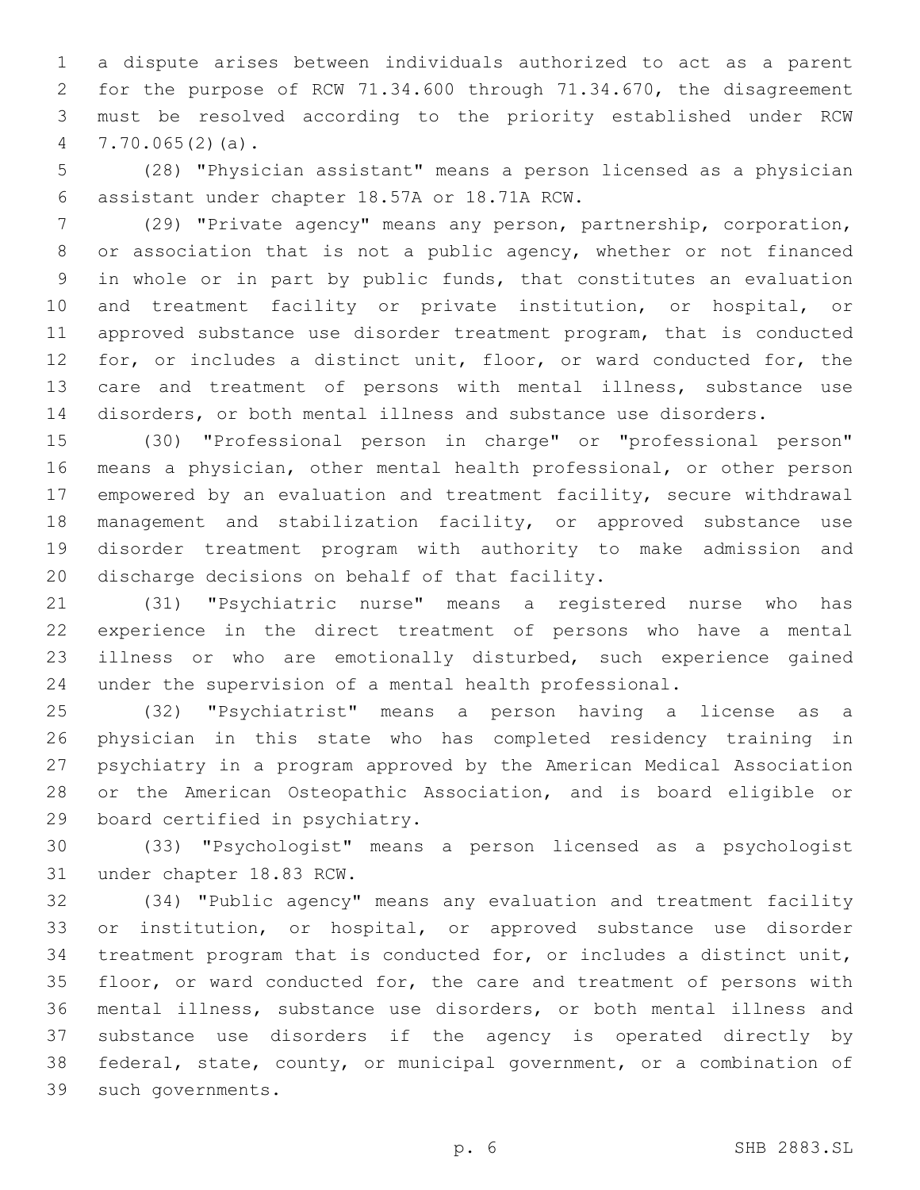a dispute arises between individuals authorized to act as a parent for the purpose of RCW 71.34.600 through 71.34.670, the disagreement must be resolved according to the priority established under RCW 7.70.065(2)(a).

 (28) "Physician assistant" means a person licensed as a physician assistant under chapter 18.57A or 18.71A RCW.6

 (29) "Private agency" means any person, partnership, corporation, or association that is not a public agency, whether or not financed in whole or in part by public funds, that constitutes an evaluation and treatment facility or private institution, or hospital, or approved substance use disorder treatment program, that is conducted 12 for, or includes a distinct unit, floor, or ward conducted for, the care and treatment of persons with mental illness, substance use disorders, or both mental illness and substance use disorders.

 (30) "Professional person in charge" or "professional person" means a physician, other mental health professional, or other person empowered by an evaluation and treatment facility, secure withdrawal management and stabilization facility, or approved substance use disorder treatment program with authority to make admission and 20 discharge decisions on behalf of that facility.

 (31) "Psychiatric nurse" means a registered nurse who has experience in the direct treatment of persons who have a mental illness or who are emotionally disturbed, such experience gained under the supervision of a mental health professional.

 (32) "Psychiatrist" means a person having a license as a physician in this state who has completed residency training in psychiatry in a program approved by the American Medical Association or the American Osteopathic Association, and is board eligible or 29 board certified in psychiatry.

 (33) "Psychologist" means a person licensed as a psychologist 31 under chapter 18.83 RCW.

 (34) "Public agency" means any evaluation and treatment facility or institution, or hospital, or approved substance use disorder treatment program that is conducted for, or includes a distinct unit, floor, or ward conducted for, the care and treatment of persons with mental illness, substance use disorders, or both mental illness and substance use disorders if the agency is operated directly by federal, state, county, or municipal government, or a combination of 39 such governments.

p. 6 SHB 2883.SL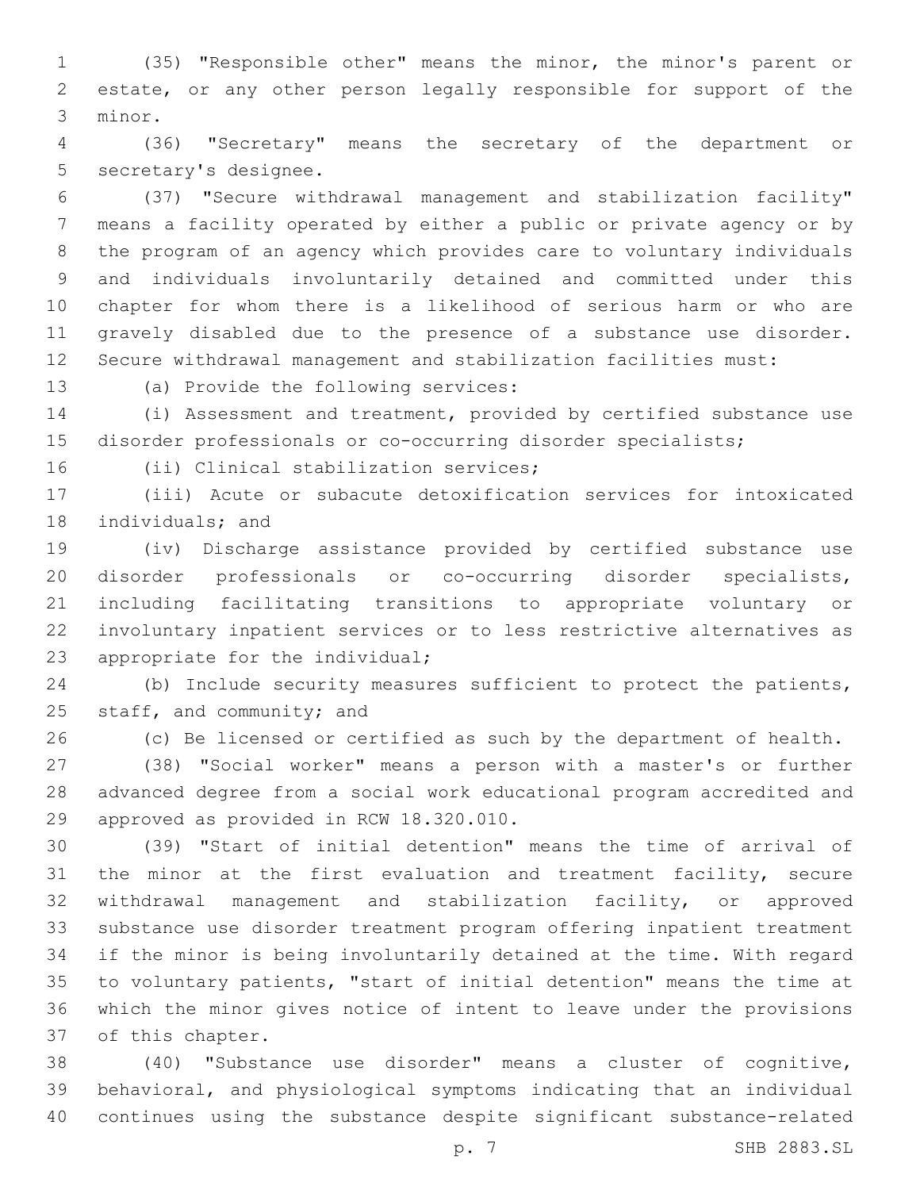(35) "Responsible other" means the minor, the minor's parent or estate, or any other person legally responsible for support of the 3 minor.

 (36) "Secretary" means the secretary of the department or 5 secretary's designee.

 (37) "Secure withdrawal management and stabilization facility" means a facility operated by either a public or private agency or by the program of an agency which provides care to voluntary individuals and individuals involuntarily detained and committed under this chapter for whom there is a likelihood of serious harm or who are gravely disabled due to the presence of a substance use disorder. Secure withdrawal management and stabilization facilities must:

13 (a) Provide the following services:

 (i) Assessment and treatment, provided by certified substance use disorder professionals or co-occurring disorder specialists;

16 (ii) Clinical stabilization services;

 (iii) Acute or subacute detoxification services for intoxicated 18 individuals; and

 (iv) Discharge assistance provided by certified substance use disorder professionals or co-occurring disorder specialists, including facilitating transitions to appropriate voluntary or involuntary inpatient services or to less restrictive alternatives as 23 appropriate for the individual;

 (b) Include security measures sufficient to protect the patients, 25 staff, and community; and

(c) Be licensed or certified as such by the department of health.

 (38) "Social worker" means a person with a master's or further advanced degree from a social work educational program accredited and 29 approved as provided in RCW 18.320.010.

 (39) "Start of initial detention" means the time of arrival of 31 the minor at the first evaluation and treatment facility, secure withdrawal management and stabilization facility, or approved substance use disorder treatment program offering inpatient treatment if the minor is being involuntarily detained at the time. With regard to voluntary patients, "start of initial detention" means the time at which the minor gives notice of intent to leave under the provisions 37 of this chapter.

 (40) "Substance use disorder" means a cluster of cognitive, behavioral, and physiological symptoms indicating that an individual continues using the substance despite significant substance-related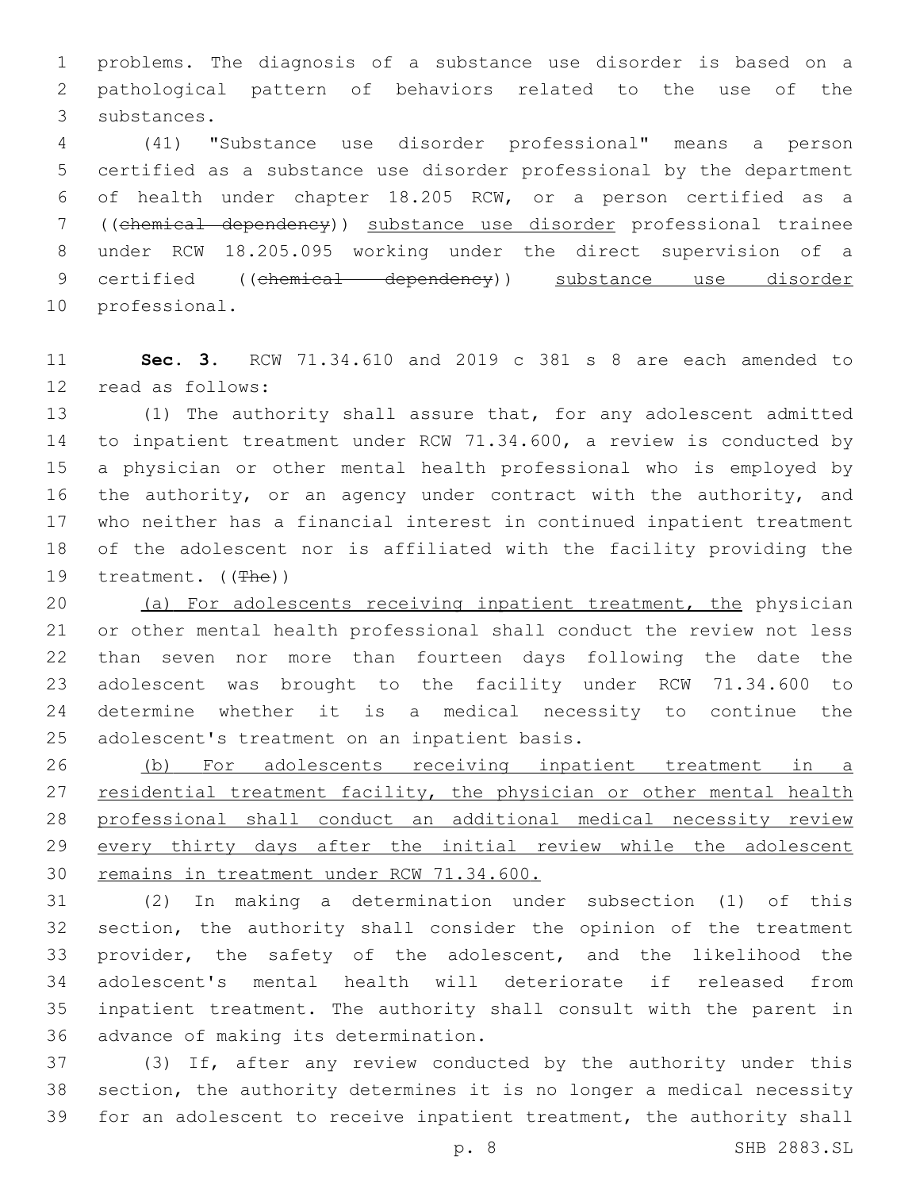problems. The diagnosis of a substance use disorder is based on a pathological pattern of behaviors related to the use of the 3 substances.

 (41) "Substance use disorder professional" means a person certified as a substance use disorder professional by the department of health under chapter 18.205 RCW, or a person certified as a ((chemical dependency)) substance use disorder professional trainee under RCW 18.205.095 working under the direct supervision of a 9 certified ((chemical dependency)) substance use disorder 10 professional.

 **Sec. 3.** RCW 71.34.610 and 2019 c 381 s 8 are each amended to 12 read as follows:

 (1) The authority shall assure that, for any adolescent admitted to inpatient treatment under RCW 71.34.600, a review is conducted by a physician or other mental health professional who is employed by 16 the authority, or an agency under contract with the authority, and who neither has a financial interest in continued inpatient treatment of the adolescent nor is affiliated with the facility providing the 19 treatment. ((The))

 (a) For adolescents receiving inpatient treatment, the physician or other mental health professional shall conduct the review not less than seven nor more than fourteen days following the date the adolescent was brought to the facility under RCW 71.34.600 to determine whether it is a medical necessity to continue the 25 adolescent's treatment on an inpatient basis.

 (b) For adolescents receiving inpatient treatment in a 27 residential treatment facility, the physician or other mental health professional shall conduct an additional medical necessity review 29 every thirty days after the initial review while the adolescent remains in treatment under RCW 71.34.600.

 (2) In making a determination under subsection (1) of this section, the authority shall consider the opinion of the treatment provider, the safety of the adolescent, and the likelihood the adolescent's mental health will deteriorate if released from inpatient treatment. The authority shall consult with the parent in 36 advance of making its determination.

 (3) If, after any review conducted by the authority under this section, the authority determines it is no longer a medical necessity for an adolescent to receive inpatient treatment, the authority shall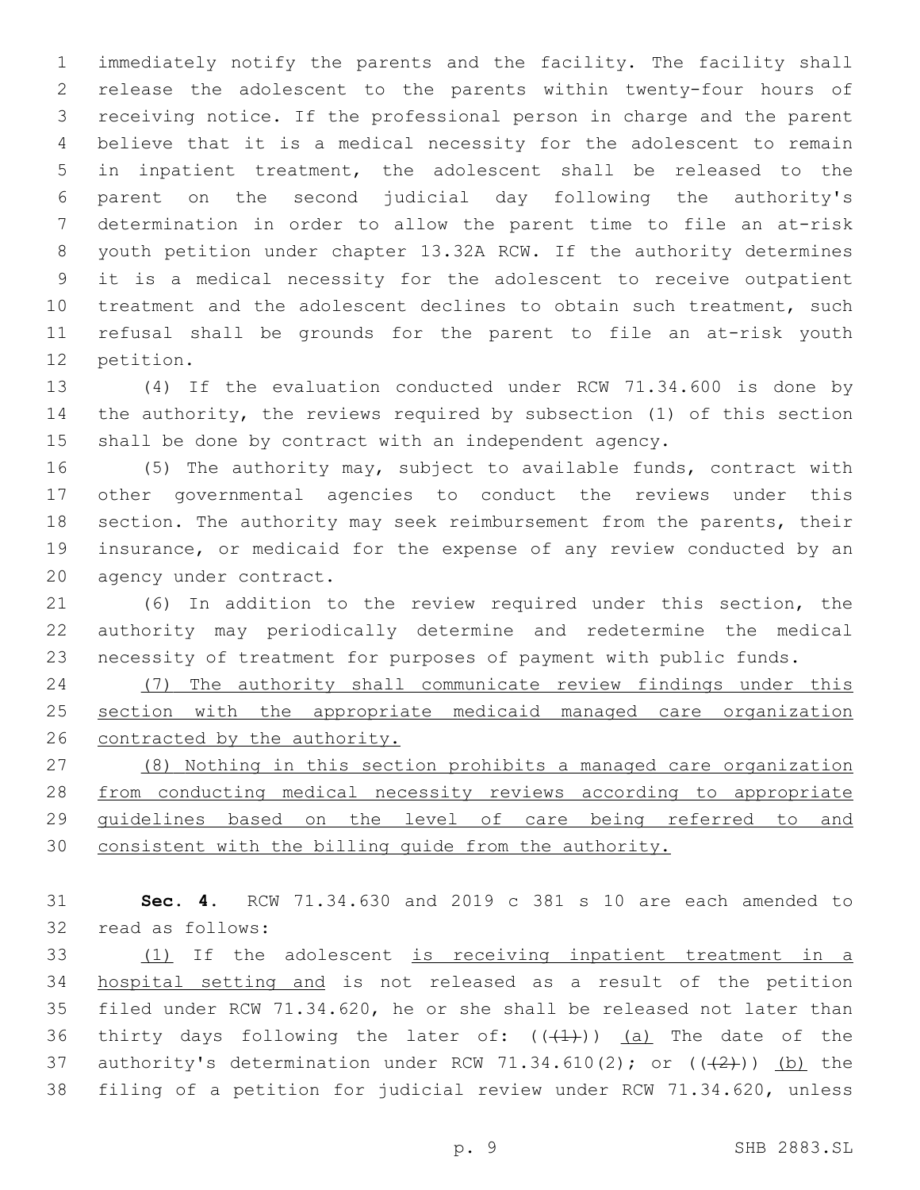immediately notify the parents and the facility. The facility shall release the adolescent to the parents within twenty-four hours of receiving notice. If the professional person in charge and the parent believe that it is a medical necessity for the adolescent to remain in inpatient treatment, the adolescent shall be released to the parent on the second judicial day following the authority's determination in order to allow the parent time to file an at-risk youth petition under chapter 13.32A RCW. If the authority determines it is a medical necessity for the adolescent to receive outpatient treatment and the adolescent declines to obtain such treatment, such refusal shall be grounds for the parent to file an at-risk youth 12 petition.

 (4) If the evaluation conducted under RCW 71.34.600 is done by the authority, the reviews required by subsection (1) of this section shall be done by contract with an independent agency.

 (5) The authority may, subject to available funds, contract with other governmental agencies to conduct the reviews under this section. The authority may seek reimbursement from the parents, their insurance, or medicaid for the expense of any review conducted by an 20 agency under contract.

 (6) In addition to the review required under this section, the authority may periodically determine and redetermine the medical necessity of treatment for purposes of payment with public funds.

 (7) The authority shall communicate review findings under this 25 section with the appropriate medicaid managed care organization contracted by the authority.

 (8) Nothing in this section prohibits a managed care organization from conducting medical necessity reviews according to appropriate guidelines based on the level of care being referred to and consistent with the billing guide from the authority.

 **Sec. 4.** RCW 71.34.630 and 2019 c 381 s 10 are each amended to 32 read as follows:

 (1) If the adolescent is receiving inpatient treatment in a hospital setting and is not released as a result of the petition filed under RCW 71.34.620, he or she shall be released not later than 36 thirty days following the later of:  $((+1)^2)$  (a) The date of the 37 authority's determination under RCW 71.34.610(2); or  $((+2+))$  (b) the filing of a petition for judicial review under RCW 71.34.620, unless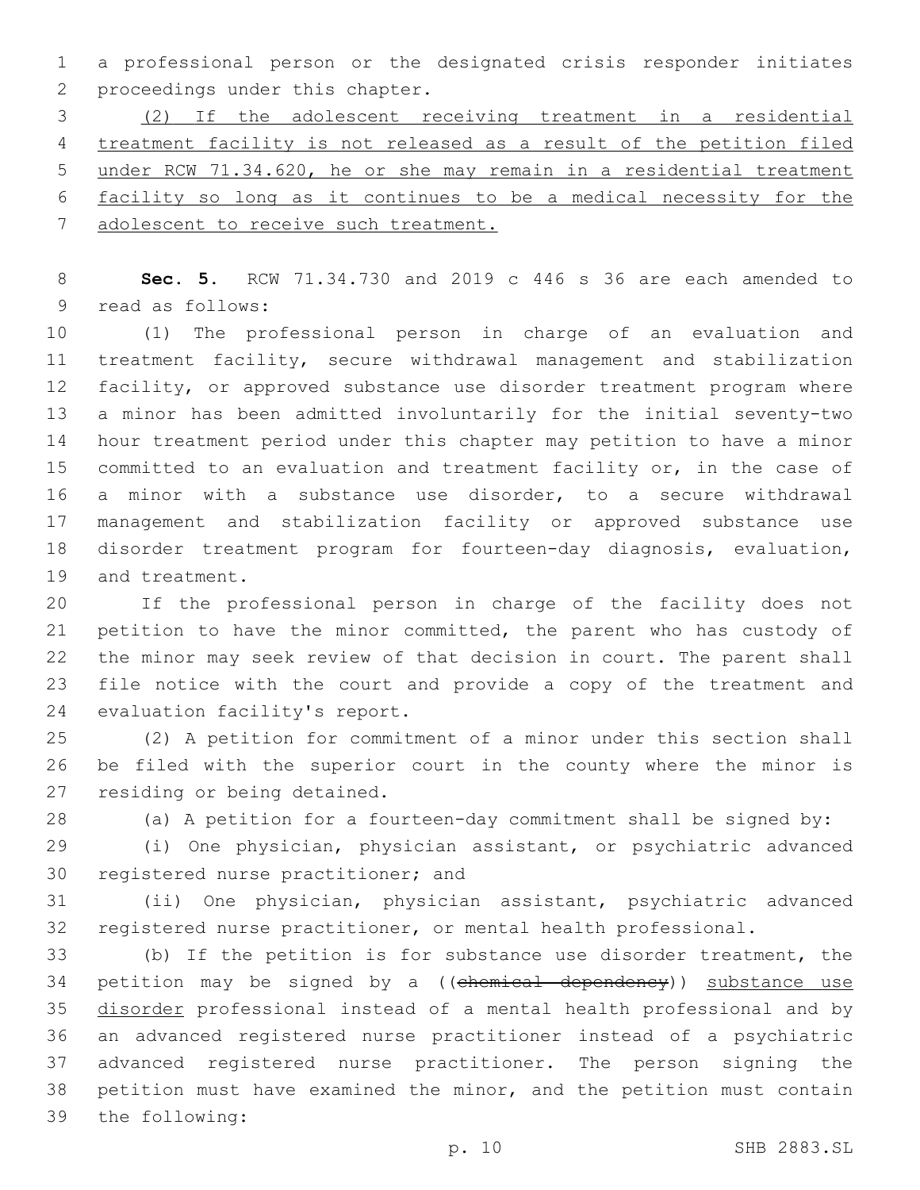a professional person or the designated crisis responder initiates 2 proceedings under this chapter.

 (2) If the adolescent receiving treatment in a residential treatment facility is not released as a result of the petition filed under RCW 71.34.620, he or she may remain in a residential treatment facility so long as it continues to be a medical necessity for the adolescent to receive such treatment.

 **Sec. 5.** RCW 71.34.730 and 2019 c 446 s 36 are each amended to 9 read as follows:

 (1) The professional person in charge of an evaluation and treatment facility, secure withdrawal management and stabilization facility, or approved substance use disorder treatment program where a minor has been admitted involuntarily for the initial seventy-two hour treatment period under this chapter may petition to have a minor committed to an evaluation and treatment facility or, in the case of a minor with a substance use disorder, to a secure withdrawal management and stabilization facility or approved substance use disorder treatment program for fourteen-day diagnosis, evaluation, 19 and treatment.

 If the professional person in charge of the facility does not petition to have the minor committed, the parent who has custody of the minor may seek review of that decision in court. The parent shall file notice with the court and provide a copy of the treatment and 24 evaluation facility's report.

 (2) A petition for commitment of a minor under this section shall be filed with the superior court in the county where the minor is 27 residing or being detained.

(a) A petition for a fourteen-day commitment shall be signed by:

 (i) One physician, physician assistant, or psychiatric advanced 30 registered nurse practitioner; and

 (ii) One physician, physician assistant, psychiatric advanced registered nurse practitioner, or mental health professional.

 (b) If the petition is for substance use disorder treatment, the 34 petition may be signed by a ((chemical dependency)) substance use 35 disorder professional instead of a mental health professional and by an advanced registered nurse practitioner instead of a psychiatric advanced registered nurse practitioner. The person signing the petition must have examined the minor, and the petition must contain 39 the following: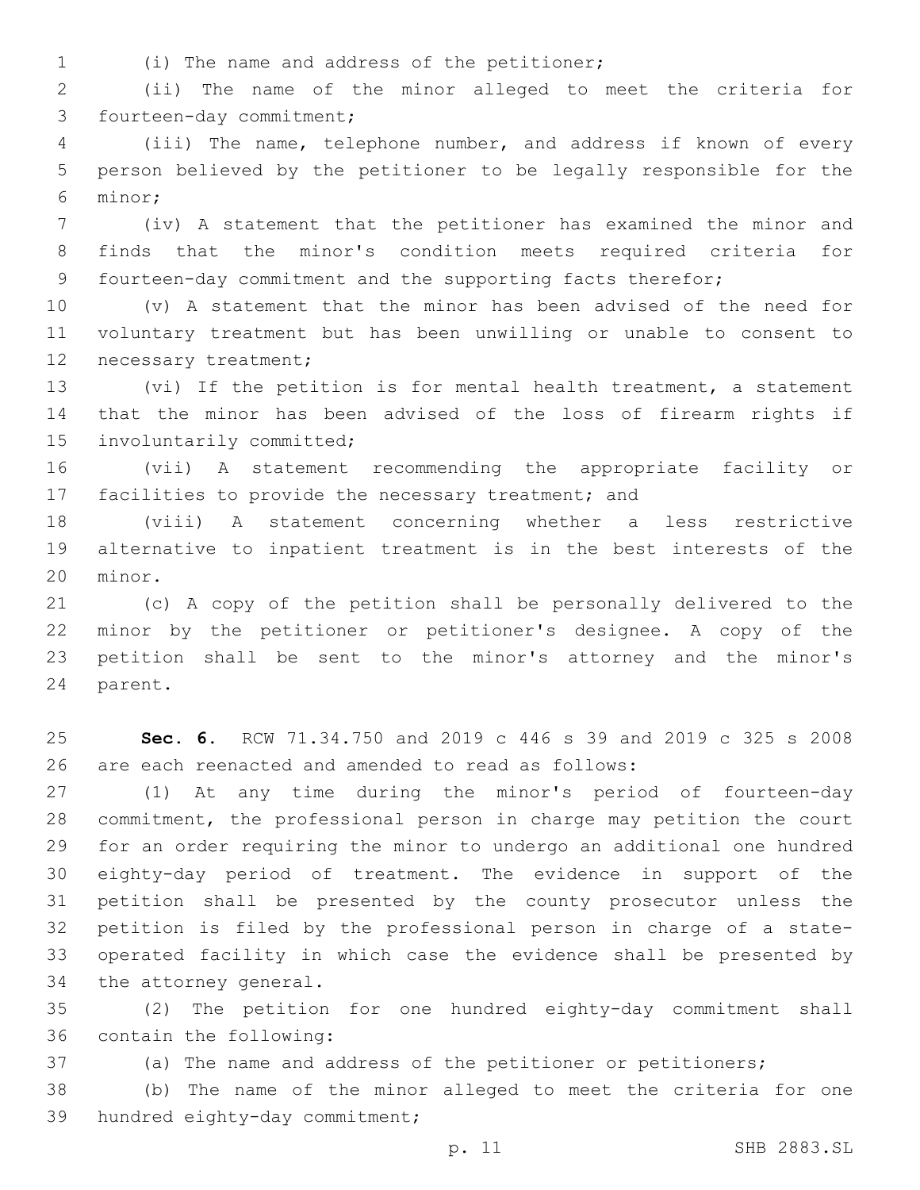(i) The name and address of the petitioner;1

 (ii) The name of the minor alleged to meet the criteria for 3 fourteen-day commitment;

 (iii) The name, telephone number, and address if known of every person believed by the petitioner to be legally responsible for the minor;6

 (iv) A statement that the petitioner has examined the minor and finds that the minor's condition meets required criteria for fourteen-day commitment and the supporting facts therefor;

 (v) A statement that the minor has been advised of the need for voluntary treatment but has been unwilling or unable to consent to 12 necessary treatment;

 (vi) If the petition is for mental health treatment, a statement that the minor has been advised of the loss of firearm rights if 15 involuntarily committed;

 (vii) A statement recommending the appropriate facility or facilities to provide the necessary treatment; and

 (viii) A statement concerning whether a less restrictive alternative to inpatient treatment is in the best interests of the 20 minor.

 (c) A copy of the petition shall be personally delivered to the minor by the petitioner or petitioner's designee. A copy of the petition shall be sent to the minor's attorney and the minor's 24 parent.

 **Sec. 6.** RCW 71.34.750 and 2019 c 446 s 39 and 2019 c 325 s 2008 are each reenacted and amended to read as follows:

 (1) At any time during the minor's period of fourteen-day commitment, the professional person in charge may petition the court for an order requiring the minor to undergo an additional one hundred eighty-day period of treatment. The evidence in support of the petition shall be presented by the county prosecutor unless the petition is filed by the professional person in charge of a state- operated facility in which case the evidence shall be presented by 34 the attorney general.

 (2) The petition for one hundred eighty-day commitment shall 36 contain the following:

(a) The name and address of the petitioner or petitioners;

 (b) The name of the minor alleged to meet the criteria for one 39 hundred eighty-day commitment;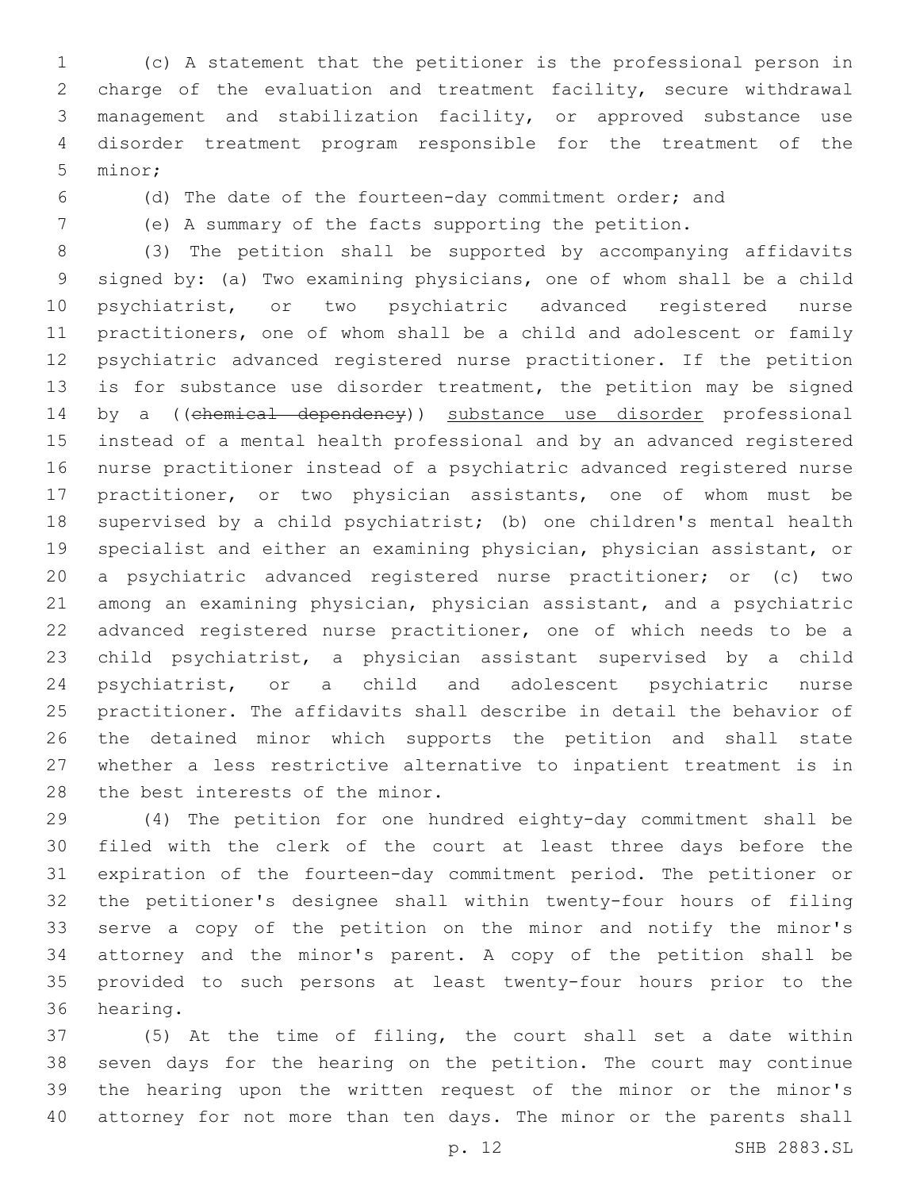(c) A statement that the petitioner is the professional person in charge of the evaluation and treatment facility, secure withdrawal management and stabilization facility, or approved substance use disorder treatment program responsible for the treatment of the 5 minor;

(d) The date of the fourteen-day commitment order; and

(e) A summary of the facts supporting the petition.

 (3) The petition shall be supported by accompanying affidavits signed by: (a) Two examining physicians, one of whom shall be a child psychiatrist, or two psychiatric advanced registered nurse practitioners, one of whom shall be a child and adolescent or family psychiatric advanced registered nurse practitioner. If the petition is for substance use disorder treatment, the petition may be signed 14 by a ((chemical dependency)) substance use disorder professional instead of a mental health professional and by an advanced registered nurse practitioner instead of a psychiatric advanced registered nurse practitioner, or two physician assistants, one of whom must be supervised by a child psychiatrist; (b) one children's mental health specialist and either an examining physician, physician assistant, or a psychiatric advanced registered nurse practitioner; or (c) two among an examining physician, physician assistant, and a psychiatric advanced registered nurse practitioner, one of which needs to be a child psychiatrist, a physician assistant supervised by a child psychiatrist, or a child and adolescent psychiatric nurse practitioner. The affidavits shall describe in detail the behavior of the detained minor which supports the petition and shall state whether a less restrictive alternative to inpatient treatment is in 28 the best interests of the minor.

 (4) The petition for one hundred eighty-day commitment shall be filed with the clerk of the court at least three days before the expiration of the fourteen-day commitment period. The petitioner or the petitioner's designee shall within twenty-four hours of filing serve a copy of the petition on the minor and notify the minor's attorney and the minor's parent. A copy of the petition shall be provided to such persons at least twenty-four hours prior to the 36 hearing.

 (5) At the time of filing, the court shall set a date within seven days for the hearing on the petition. The court may continue the hearing upon the written request of the minor or the minor's attorney for not more than ten days. The minor or the parents shall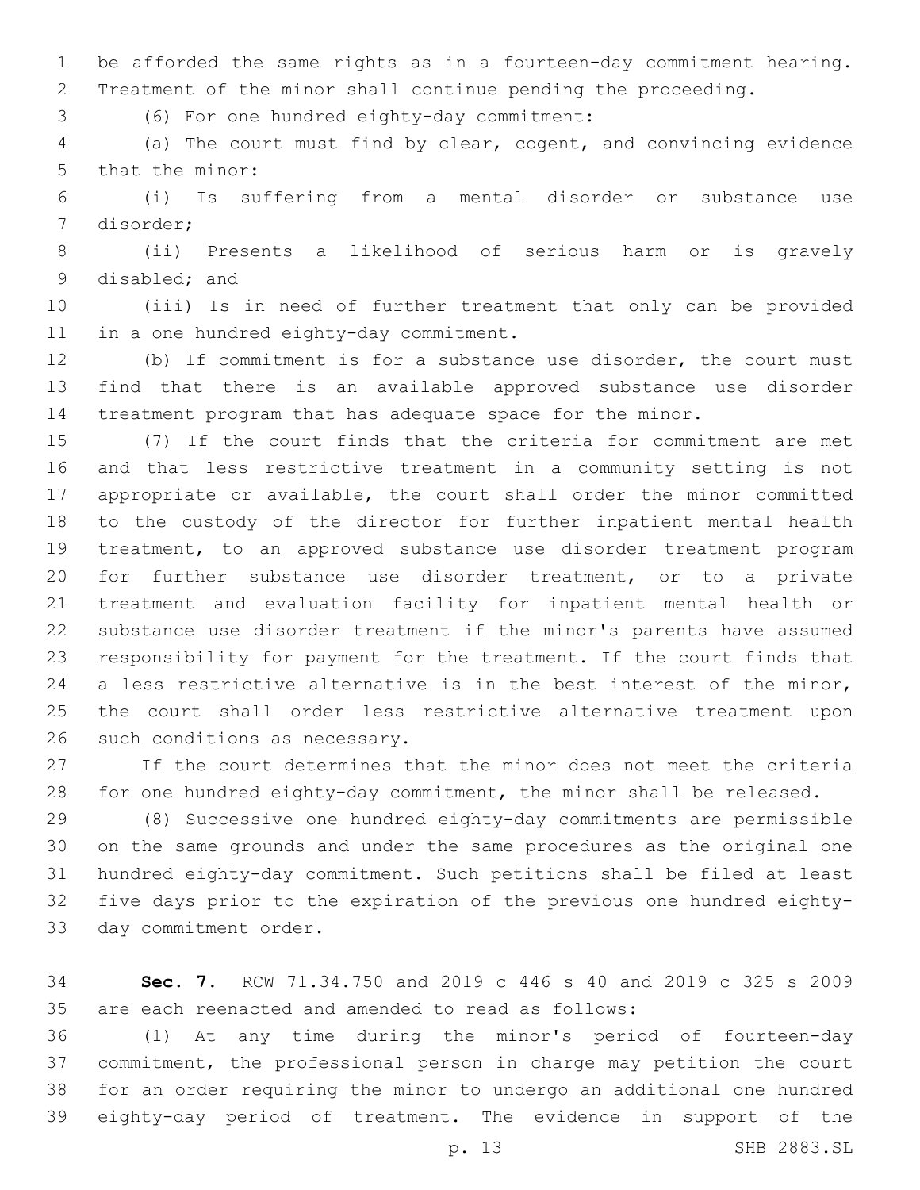be afforded the same rights as in a fourteen-day commitment hearing. Treatment of the minor shall continue pending the proceeding.

(6) For one hundred eighty-day commitment:3

 (a) The court must find by clear, cogent, and convincing evidence 5 that the minor:

 (i) Is suffering from a mental disorder or substance use 7 disorder;

 (ii) Presents a likelihood of serious harm or is gravely 9 disabled; and

 (iii) Is in need of further treatment that only can be provided 11 in a one hundred eighty-day commitment.

 (b) If commitment is for a substance use disorder, the court must find that there is an available approved substance use disorder treatment program that has adequate space for the minor.

 (7) If the court finds that the criteria for commitment are met and that less restrictive treatment in a community setting is not appropriate or available, the court shall order the minor committed to the custody of the director for further inpatient mental health treatment, to an approved substance use disorder treatment program for further substance use disorder treatment, or to a private treatment and evaluation facility for inpatient mental health or substance use disorder treatment if the minor's parents have assumed responsibility for payment for the treatment. If the court finds that a less restrictive alternative is in the best interest of the minor, the court shall order less restrictive alternative treatment upon 26 such conditions as necessary.

 If the court determines that the minor does not meet the criteria for one hundred eighty-day commitment, the minor shall be released.

 (8) Successive one hundred eighty-day commitments are permissible on the same grounds and under the same procedures as the original one hundred eighty-day commitment. Such petitions shall be filed at least five days prior to the expiration of the previous one hundred eighty-33 day commitment order.

 **Sec. 7.** RCW 71.34.750 and 2019 c 446 s 40 and 2019 c 325 s 2009 are each reenacted and amended to read as follows:

 (1) At any time during the minor's period of fourteen-day commitment, the professional person in charge may petition the court for an order requiring the minor to undergo an additional one hundred eighty-day period of treatment. The evidence in support of the

p. 13 SHB 2883.SL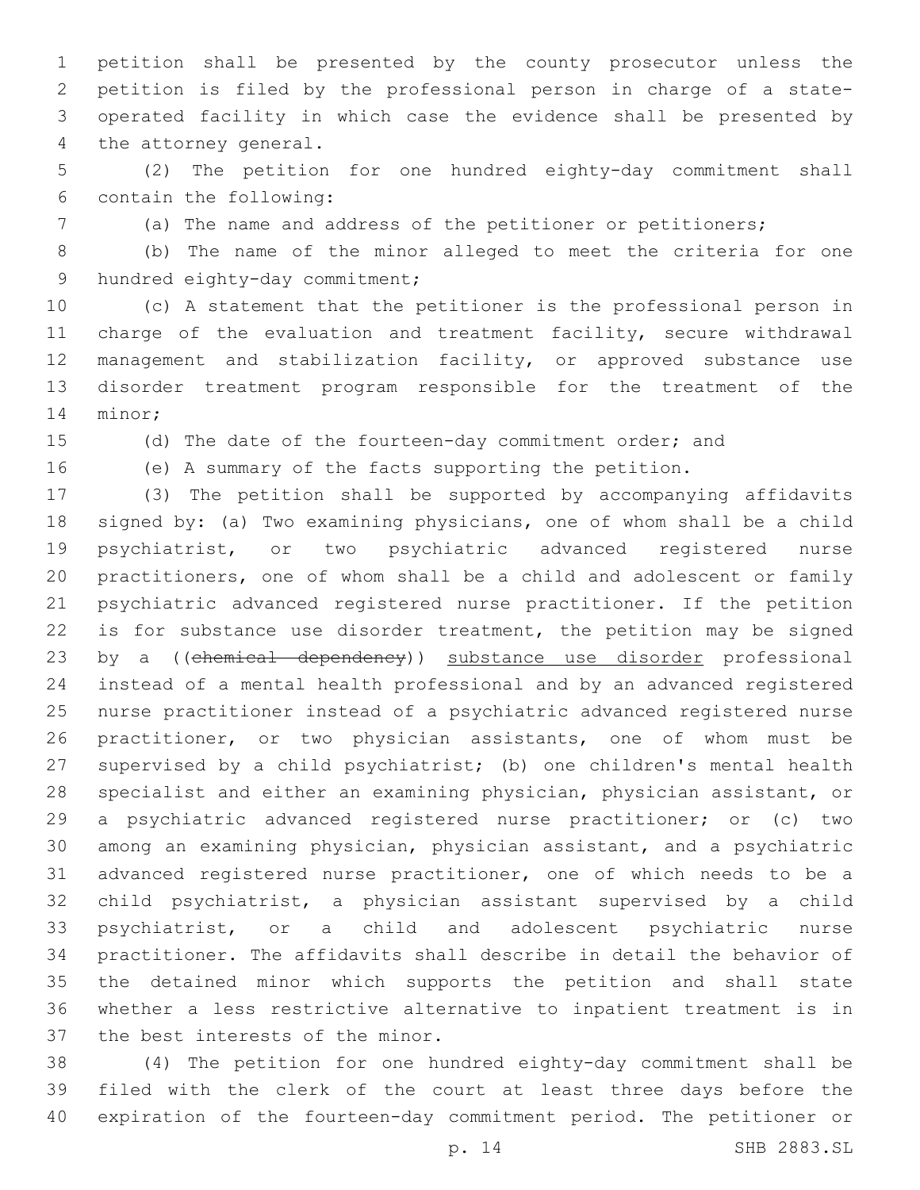petition shall be presented by the county prosecutor unless the petition is filed by the professional person in charge of a state- operated facility in which case the evidence shall be presented by 4 the attorney general.

 (2) The petition for one hundred eighty-day commitment shall contain the following:6

(a) The name and address of the petitioner or petitioners;

 (b) The name of the minor alleged to meet the criteria for one 9 hundred eighty-day commitment;

 (c) A statement that the petitioner is the professional person in charge of the evaluation and treatment facility, secure withdrawal management and stabilization facility, or approved substance use disorder treatment program responsible for the treatment of the 14 minor;

(d) The date of the fourteen-day commitment order; and

(e) A summary of the facts supporting the petition.

 (3) The petition shall be supported by accompanying affidavits signed by: (a) Two examining physicians, one of whom shall be a child psychiatrist, or two psychiatric advanced registered nurse practitioners, one of whom shall be a child and adolescent or family psychiatric advanced registered nurse practitioner. If the petition 22 is for substance use disorder treatment, the petition may be signed 23 by a ((chemical dependency)) substance use disorder professional instead of a mental health professional and by an advanced registered nurse practitioner instead of a psychiatric advanced registered nurse practitioner, or two physician assistants, one of whom must be supervised by a child psychiatrist; (b) one children's mental health specialist and either an examining physician, physician assistant, or a psychiatric advanced registered nurse practitioner; or (c) two among an examining physician, physician assistant, and a psychiatric advanced registered nurse practitioner, one of which needs to be a child psychiatrist, a physician assistant supervised by a child psychiatrist, or a child and adolescent psychiatric nurse practitioner. The affidavits shall describe in detail the behavior of the detained minor which supports the petition and shall state whether a less restrictive alternative to inpatient treatment is in 37 the best interests of the minor.

 (4) The petition for one hundred eighty-day commitment shall be filed with the clerk of the court at least three days before the expiration of the fourteen-day commitment period. The petitioner or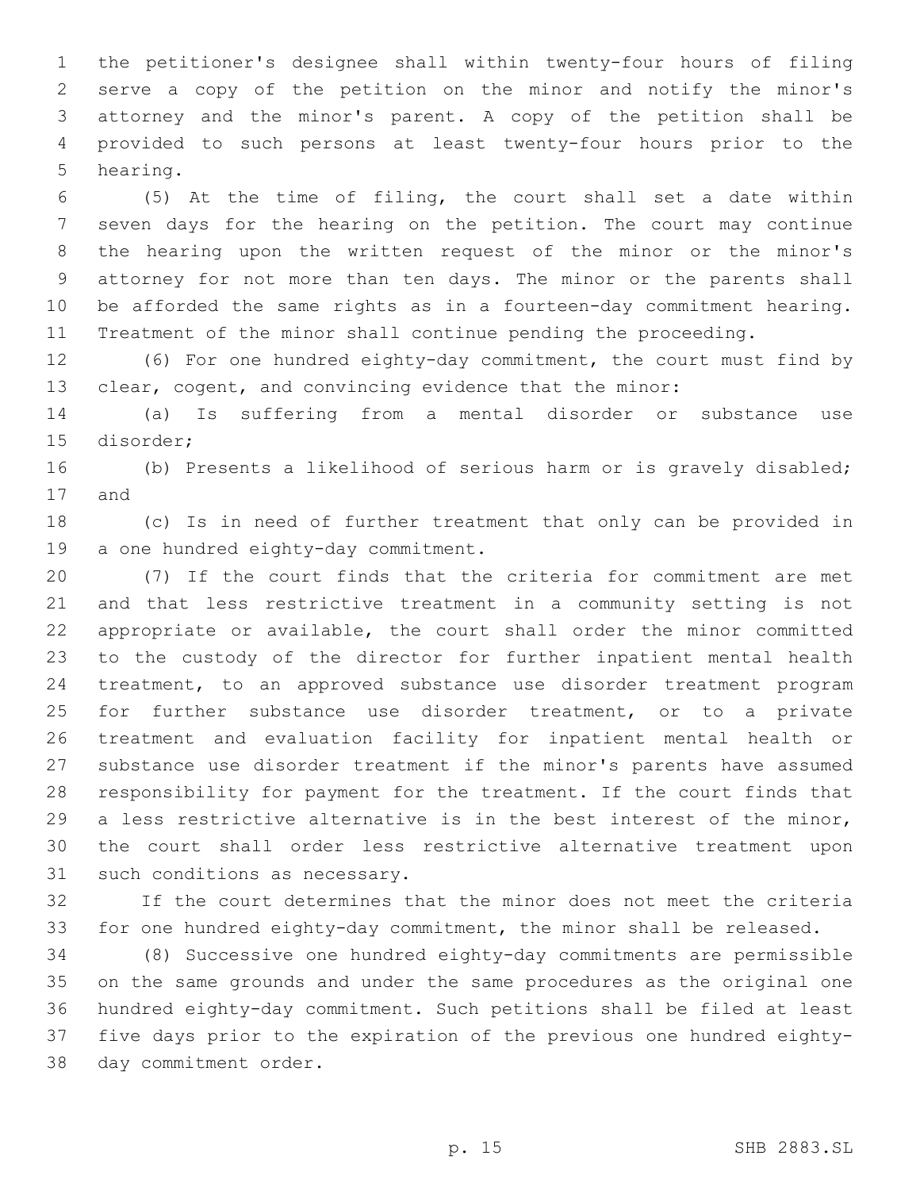the petitioner's designee shall within twenty-four hours of filing serve a copy of the petition on the minor and notify the minor's attorney and the minor's parent. A copy of the petition shall be provided to such persons at least twenty-four hours prior to the 5 hearing.

 (5) At the time of filing, the court shall set a date within seven days for the hearing on the petition. The court may continue the hearing upon the written request of the minor or the minor's attorney for not more than ten days. The minor or the parents shall be afforded the same rights as in a fourteen-day commitment hearing. Treatment of the minor shall continue pending the proceeding.

 (6) For one hundred eighty-day commitment, the court must find by clear, cogent, and convincing evidence that the minor:

 (a) Is suffering from a mental disorder or substance use 15 disorder;

 (b) Presents a likelihood of serious harm or is gravely disabled; 17 and

 (c) Is in need of further treatment that only can be provided in 19 a one hundred eighty-day commitment.

 (7) If the court finds that the criteria for commitment are met and that less restrictive treatment in a community setting is not appropriate or available, the court shall order the minor committed to the custody of the director for further inpatient mental health treatment, to an approved substance use disorder treatment program for further substance use disorder treatment, or to a private treatment and evaluation facility for inpatient mental health or substance use disorder treatment if the minor's parents have assumed responsibility for payment for the treatment. If the court finds that a less restrictive alternative is in the best interest of the minor, the court shall order less restrictive alternative treatment upon 31 such conditions as necessary.

 If the court determines that the minor does not meet the criteria for one hundred eighty-day commitment, the minor shall be released.

 (8) Successive one hundred eighty-day commitments are permissible on the same grounds and under the same procedures as the original one hundred eighty-day commitment. Such petitions shall be filed at least five days prior to the expiration of the previous one hundred eighty-38 day commitment order.